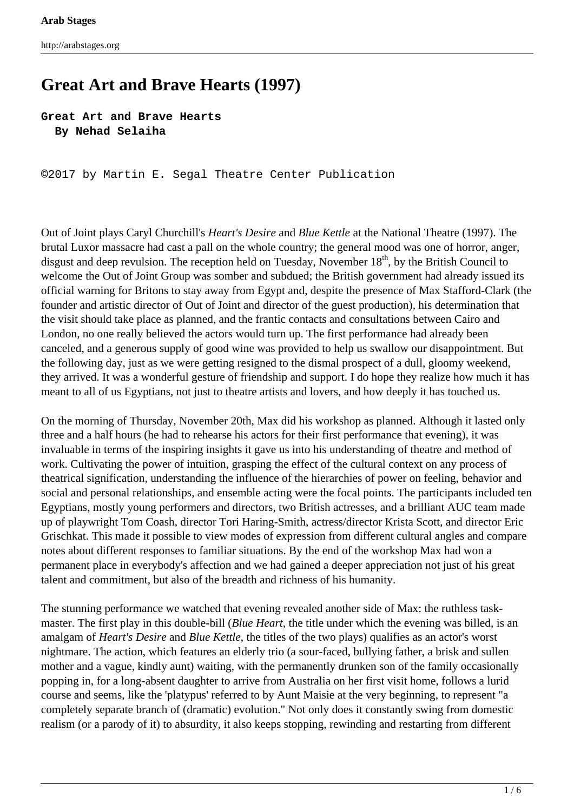# **Great Art and Brave Hearts (1997)**

### **Great Art and Brave Hearts By Nehad Selaiha**

**©**2017 by Martin E. Segal Theatre Center Publication

Out of Joint plays Caryl Churchill's *Heart's Desire* and *Blue Kettle* at the National Theatre (1997). The brutal Luxor massacre had cast a pall on the whole country; the general mood was one of horror, anger, disgust and deep revulsion. The reception held on Tuesday, November 18<sup>th</sup>, by the British Council to welcome the Out of Joint Group was somber and subdued; the British government had already issued its official warning for Britons to stay away from Egypt and, despite the presence of Max Stafford-Clark (the founder and artistic director of Out of Joint and director of the guest production), his determination that the visit should take place as planned, and the frantic contacts and consultations between Cairo and London, no one really believed the actors would turn up. The first performance had already been canceled, and a generous supply of good wine was provided to help us swallow our disappointment. But the following day, just as we were getting resigned to the dismal prospect of a dull, gloomy weekend, they arrived. It was a wonderful gesture of friendship and support. I do hope they realize how much it has meant to all of us Egyptians, not just to theatre artists and lovers, and how deeply it has touched us.

On the morning of Thursday, November 20th, Max did his workshop as planned. Although it lasted only three and a half hours (he had to rehearse his actors for their first performance that evening), it was invaluable in terms of the inspiring insights it gave us into his understanding of theatre and method of work. Cultivating the power of intuition, grasping the effect of the cultural context on any process of theatrical signification, understanding the influence of the hierarchies of power on feeling, behavior and social and personal relationships, and ensemble acting were the focal points. The participants included ten Egyptians, mostly young performers and directors, two British actresses, and a brilliant AUC team made up of playwright Tom Coash, director Tori Haring-Smith, actress/director Krista Scott, and director Eric Grischkat. This made it possible to view modes of expression from different cultural angles and compare notes about different responses to familiar situations. By the end of the workshop Max had won a permanent place in everybody's affection and we had gained a deeper appreciation not just of his great talent and commitment, but also of the breadth and richness of his humanity.

The stunning performance we watched that evening revealed another side of Max: the ruthless taskmaster. The first play in this double-bill (*Blue Heart*, the title under which the evening was billed, is an amalgam of *Heart's Desire* and *Blue Kettle*, the titles of the two plays) qualifies as an actor's worst nightmare. The action, which features an elderly trio (a sour-faced, bullying father, a brisk and sullen mother and a vague, kindly aunt) waiting, with the permanently drunken son of the family occasionally popping in, for a long-absent daughter to arrive from Australia on her first visit home, follows a lurid course and seems, like the 'platypus' referred to by Aunt Maisie at the very beginning, to represent "a completely separate branch of (dramatic) evolution." Not only does it constantly swing from domestic realism (or a parody of it) to absurdity, it also keeps stopping, rewinding and restarting from different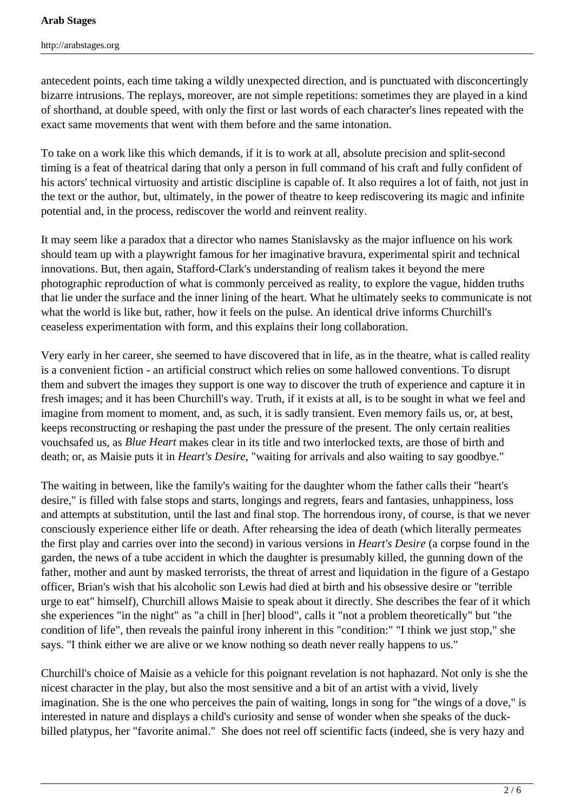antecedent points, each time taking a wildly unexpected direction, and is punctuated with disconcertingly bizarre intrusions. The replays, moreover, are not simple repetitions: sometimes they are played in a kind of shorthand, at double speed, with only the first or last words of each character's lines repeated with the exact same movements that went with them before and the same intonation.

To take on a work like this which demands, if it is to work at all, absolute precision and split-second timing is a feat of theatrical daring that only a person in full command of his craft and fully confident of his actors' technical virtuosity and artistic discipline is capable of. It also requires a lot of faith, not just in the text or the author, but, ultimately, in the power of theatre to keep rediscovering its magic and infinite potential and, in the process, rediscover the world and reinvent reality.

It may seem like a paradox that a director who names Stanislavsky as the major influence on his work should team up with a playwright famous for her imaginative bravura, experimental spirit and technical innovations. But, then again, Stafford-Clark's understanding of realism takes it beyond the mere photographic reproduction of what is commonly perceived as reality, to explore the vague, hidden truths that lie under the surface and the inner lining of the heart. What he ultimately seeks to communicate is not what the world is like but, rather, how it feels on the pulse. An identical drive informs Churchill's ceaseless experimentation with form, and this explains their long collaboration.

Very early in her career, she seemed to have discovered that in life, as in the theatre, what is called reality is a convenient fiction - an artificial construct which relies on some hallowed conventions. To disrupt them and subvert the images they support is one way to discover the truth of experience and capture it in fresh images; and it has been Churchill's way. Truth, if it exists at all, is to be sought in what we feel and imagine from moment to moment, and, as such, it is sadly transient. Even memory fails us, or, at best, keeps reconstructing or reshaping the past under the pressure of the present. The only certain realities vouchsafed us, as *Blue Heart* makes clear in its title and two interlocked texts, are those of birth and death; or, as Maisie puts it in *Heart's Desire*, "waiting for arrivals and also waiting to say goodbye."

The waiting in between, like the family's waiting for the daughter whom the father calls their "heart's desire," is filled with false stops and starts, longings and regrets, fears and fantasies, unhappiness, loss and attempts at substitution, until the last and final stop. The horrendous irony, of course, is that we never consciously experience either life or death. After rehearsing the idea of death (which literally permeates the first play and carries over into the second) in various versions in *Heart's Desire* (a corpse found in the garden, the news of a tube accident in which the daughter is presumably killed, the gunning down of the father, mother and aunt by masked terrorists, the threat of arrest and liquidation in the figure of a Gestapo officer, Brian's wish that his alcoholic son Lewis had died at birth and his obsessive desire or "terrible urge to eat" himself), Churchill allows Maisie to speak about it directly. She describes the fear of it which she experiences "in the night" as "a chill in [her] blood", calls it "not a problem theoretically" but "the condition of life", then reveals the painful irony inherent in this "condition:" "I think we just stop," she says. "I think either we are alive or we know nothing so death never really happens to us."

Churchill's choice of Maisie as a vehicle for this poignant revelation is not haphazard. Not only is she the nicest character in the play, but also the most sensitive and a bit of an artist with a vivid, lively imagination. She is the one who perceives the pain of waiting, longs in song for "the wings of a dove," is interested in nature and displays a child's curiosity and sense of wonder when she speaks of the duckbilled platypus, her "favorite animal." She does not reel off scientific facts (indeed, she is very hazy and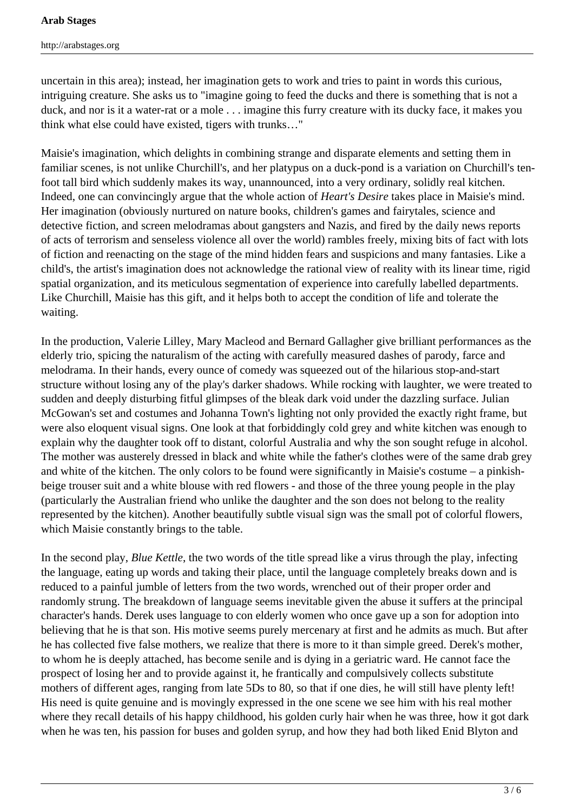uncertain in this area); instead, her imagination gets to work and tries to paint in words this curious, intriguing creature. She asks us to "imagine going to feed the ducks and there is something that is not a duck, and nor is it a water-rat or a mole . . . imagine this furry creature with its ducky face, it makes you think what else could have existed, tigers with trunks…"

Maisie's imagination, which delights in combining strange and disparate elements and setting them in familiar scenes, is not unlike Churchill's, and her platypus on a duck-pond is a variation on Churchill's tenfoot tall bird which suddenly makes its way, unannounced, into a very ordinary, solidly real kitchen. Indeed, one can convincingly argue that the whole action of *Heart's Desire* takes place in Maisie's mind. Her imagination (obviously nurtured on nature books, children's games and fairytales, science and detective fiction, and screen melodramas about gangsters and Nazis, and fired by the daily news reports of acts of terrorism and senseless violence all over the world) rambles freely, mixing bits of fact with lots of fiction and reenacting on the stage of the mind hidden fears and suspicions and many fantasies. Like a child's, the artist's imagination does not acknowledge the rational view of reality with its linear time, rigid spatial organization, and its meticulous segmentation of experience into carefully labelled departments. Like Churchill, Maisie has this gift, and it helps both to accept the condition of life and tolerate the waiting.

In the production, Valerie Lilley, Mary Macleod and Bernard Gallagher give brilliant performances as the elderly trio, spicing the naturalism of the acting with carefully measured dashes of parody, farce and melodrama. In their hands, every ounce of comedy was squeezed out of the hilarious stop-and-start structure without losing any of the play's darker shadows. While rocking with laughter, we were treated to sudden and deeply disturbing fitful glimpses of the bleak dark void under the dazzling surface. Julian McGowan's set and costumes and Johanna Town's lighting not only provided the exactly right frame, but were also eloquent visual signs. One look at that forbiddingly cold grey and white kitchen was enough to explain why the daughter took off to distant, colorful Australia and why the son sought refuge in alcohol. The mother was austerely dressed in black and white while the father's clothes were of the same drab grey and white of the kitchen. The only colors to be found were significantly in Maisie's costume – a pinkishbeige trouser suit and a white blouse with red flowers - and those of the three young people in the play (particularly the Australian friend who unlike the daughter and the son does not belong to the reality represented by the kitchen). Another beautifully subtle visual sign was the small pot of colorful flowers, which Maisie constantly brings to the table.

In the second play, *Blue Kettle*, the two words of the title spread like a virus through the play, infecting the language, eating up words and taking their place, until the language completely breaks down and is reduced to a painful jumble of letters from the two words, wrenched out of their proper order and randomly strung. The breakdown of language seems inevitable given the abuse it suffers at the principal character's hands. Derek uses language to con elderly women who once gave up a son for adoption into believing that he is that son. His motive seems purely mercenary at first and he admits as much. But after he has collected five false mothers, we realize that there is more to it than simple greed. Derek's mother, to whom he is deeply attached, has become senile and is dying in a geriatric ward. He cannot face the prospect of losing her and to provide against it, he frantically and compulsively collects substitute mothers of different ages, ranging from late 5Ds to 80, so that if one dies, he will still have plenty left! His need is quite genuine and is movingly expressed in the one scene we see him with his real mother where they recall details of his happy childhood, his golden curly hair when he was three, how it got dark when he was ten, his passion for buses and golden syrup, and how they had both liked Enid Blyton and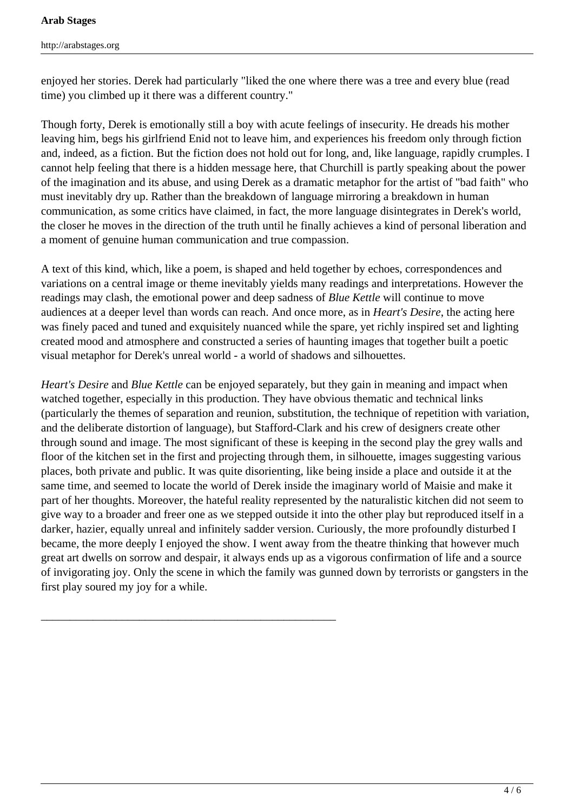enjoyed her stories. Derek had particularly "liked the one where there was a tree and every blue (read time) you climbed up it there was a different country."

Though forty, Derek is emotionally still a boy with acute feelings of insecurity. He dreads his mother leaving him, begs his girlfriend Enid not to leave him, and experiences his freedom only through fiction and, indeed, as a fiction. But the fiction does not hold out for long, and, like language, rapidly crumples. I cannot help feeling that there is a hidden message here, that Churchill is partly speaking about the power of the imagination and its abuse, and using Derek as a dramatic metaphor for the artist of "bad faith" who must inevitably dry up. Rather than the breakdown of language mirroring a breakdown in human communication, as some critics have claimed, in fact, the more language disintegrates in Derek's world, the closer he moves in the direction of the truth until he finally achieves a kind of personal liberation and a moment of genuine human communication and true compassion.

A text of this kind, which, like a poem, is shaped and held together by echoes, correspondences and variations on a central image or theme inevitably yields many readings and interpretations. However the readings may clash, the emotional power and deep sadness of *Blue Kettle* will continue to move audiences at a deeper level than words can reach. And once more, as in *Heart's Desire*, the acting here was finely paced and tuned and exquisitely nuanced while the spare, yet richly inspired set and lighting created mood and atmosphere and constructed a series of haunting images that together built a poetic visual metaphor for Derek's unreal world - a world of shadows and silhouettes.

*Heart's Desire* and *Blue Kettle* can be enjoyed separately, but they gain in meaning and impact when watched together, especially in this production. They have obvious thematic and technical links (particularly the themes of separation and reunion, substitution, the technique of repetition with variation, and the deliberate distortion of language), but Stafford-Clark and his crew of designers create other through sound and image. The most significant of these is keeping in the second play the grey walls and floor of the kitchen set in the first and projecting through them, in silhouette, images suggesting various places, both private and public. It was quite disorienting, like being inside a place and outside it at the same time, and seemed to locate the world of Derek inside the imaginary world of Maisie and make it part of her thoughts. Moreover, the hateful reality represented by the naturalistic kitchen did not seem to give way to a broader and freer one as we stepped outside it into the other play but reproduced itself in a darker, hazier, equally unreal and infinitely sadder version. Curiously, the more profoundly disturbed I became, the more deeply I enjoyed the show. I went away from the theatre thinking that however much great art dwells on sorrow and despair, it always ends up as a vigorous confirmation of life and a source of invigorating joy. Only the scene in which the family was gunned down by terrorists or gangsters in the first play soured my joy for a while.

\_\_\_\_\_\_\_\_\_\_\_\_\_\_\_\_\_\_\_\_\_\_\_\_\_\_\_\_\_\_\_\_\_\_\_\_\_\_\_\_\_\_\_\_\_\_\_\_\_\_\_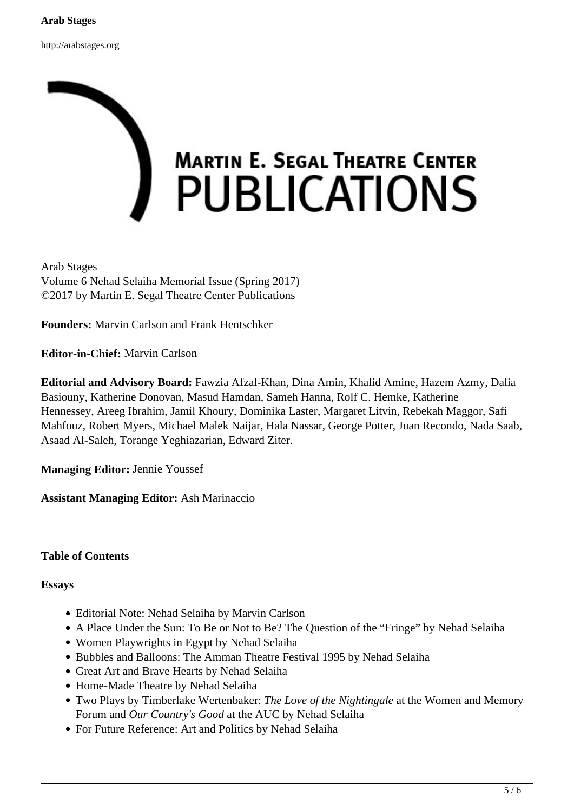

Arab Stages Volume 6 Nehad Selaiha Memorial Issue (Spring 2017) ©2017 by Martin E. Segal Theatre Center Publications

**Founders:** Marvin Carlson and Frank Hentschker

**Editor-in-Chief:** Marvin Carlson

**Editorial and Advisory Board:** Fawzia Afzal-Khan, Dina Amin, Khalid Amine, Hazem Azmy, Dalia Basiouny, Katherine Donovan, Masud Hamdan, Sameh Hanna, Rolf C. Hemke, Katherine Hennessey, Areeg Ibrahim, Jamil Khoury, Dominika Laster, Margaret Litvin, Rebekah Maggor, Safi Mahfouz, Robert Myers, Michael Malek Naijar, Hala Nassar, George Potter, Juan Recondo, Nada Saab, Asaad Al-Saleh, Torange Yeghiazarian, Edward Ziter.

**Managing Editor:** Jennie Youssef

**Assistant Managing Editor:** Ash Marinaccio

## **Table of Contents**

### **Essays**

- Editorial Note: Nehad Selaiha by Marvin Carlson
- A Place Under the Sun: To Be or Not to Be? The Question of the "Fringe" by Nehad Selaiha
- Women Playwrights in Egypt by Nehad Selaiha
- Bubbles and Balloons: The Amman Theatre Festival 1995 by Nehad Selaiha
- Great Art and Brave Hearts by Nehad Selaiha
- Home-Made Theatre by Nehad Selaiha
- Two Plays by Timberlake Wertenbaker: *The Love of the Nightingale* at the Women and Memory Forum and *Our Country's Good* at the AUC by Nehad Selaiha
- For Future Reference: Art and Politics by Nehad Selaiha